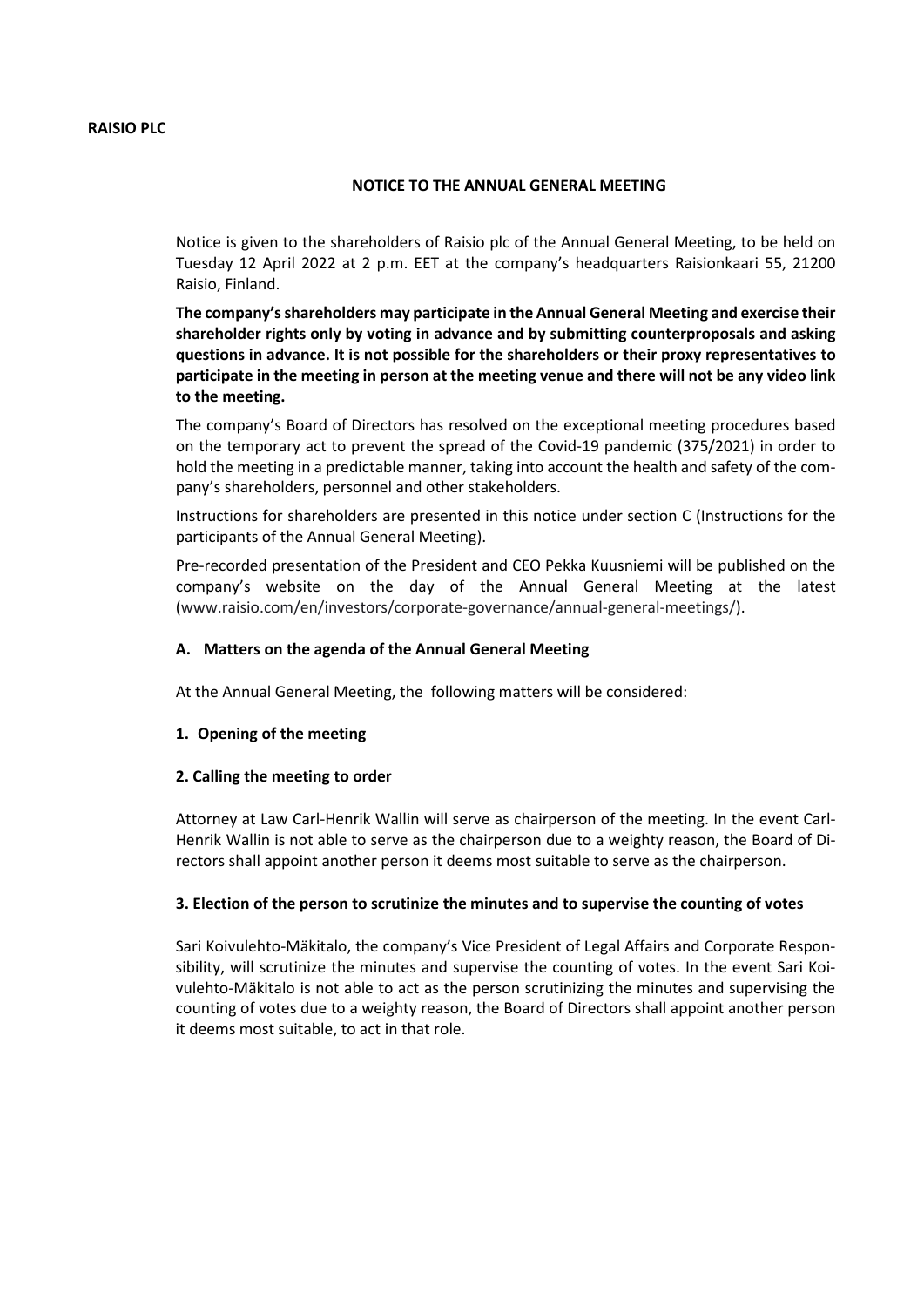#### **NOTICE TO THE ANNUAL GENERAL MEETING**

Notice is given to the shareholders of Raisio plc of the Annual General Meeting, to be held on Tuesday 12 April 2022 at 2 p.m. EET at the company's headquarters Raisionkaari 55, 21200 Raisio, Finland.

**The company's shareholders may participate in the Annual General Meeting and exercise their shareholder rights only by voting in advance and by submitting counterproposals and asking questions in advance. It is not possible for the shareholders or their proxy representatives to participate in the meeting in person at the meeting venue and there will not be any video link to the meeting.** 

The company's Board of Directors has resolved on the exceptional meeting procedures based on the temporary act to prevent the spread of the Covid-19 pandemic (375/2021) in order to hold the meeting in a predictable manner, taking into account the health and safety of the company's shareholders, personnel and other stakeholders.

Instructions for shareholders are presented in this notice under section C (Instructions for the participants of the Annual General Meeting).

Pre-recorded presentation of the President and CEO Pekka Kuusniemi will be published on the company's website on the day of the Annual General Meeting at the latest [\(www.raisio.com/en/investors/corporate-governance/annual-general-meetings/\)](https://www.raisio.com/en/investors/corporate-governance/annual-general-meetings/).

### **A. Matters on the agenda of the Annual General Meeting**

At the Annual General Meeting, the following matters will be considered:

#### **1. Opening of the meeting**

#### **2. Calling the meeting to order**

Attorney at Law Carl-Henrik Wallin will serve as chairperson of the meeting. In the event Carl-Henrik Wallin is not able to serve as the chairperson due to a weighty reason, the Board of Directors shall appoint another person it deems most suitable to serve as the chairperson.

#### **3. Election of the person to scrutinize the minutes and to supervise the counting of votes**

Sari Koivulehto-Mäkitalo, the company's Vice President of Legal Affairs and Corporate Responsibility, will scrutinize the minutes and supervise the counting of votes. In the event Sari Koivulehto-Mäkitalo is not able to act as the person scrutinizing the minutes and supervising the counting of votes due to a weighty reason, the Board of Directors shall appoint another person it deems most suitable, to act in that role.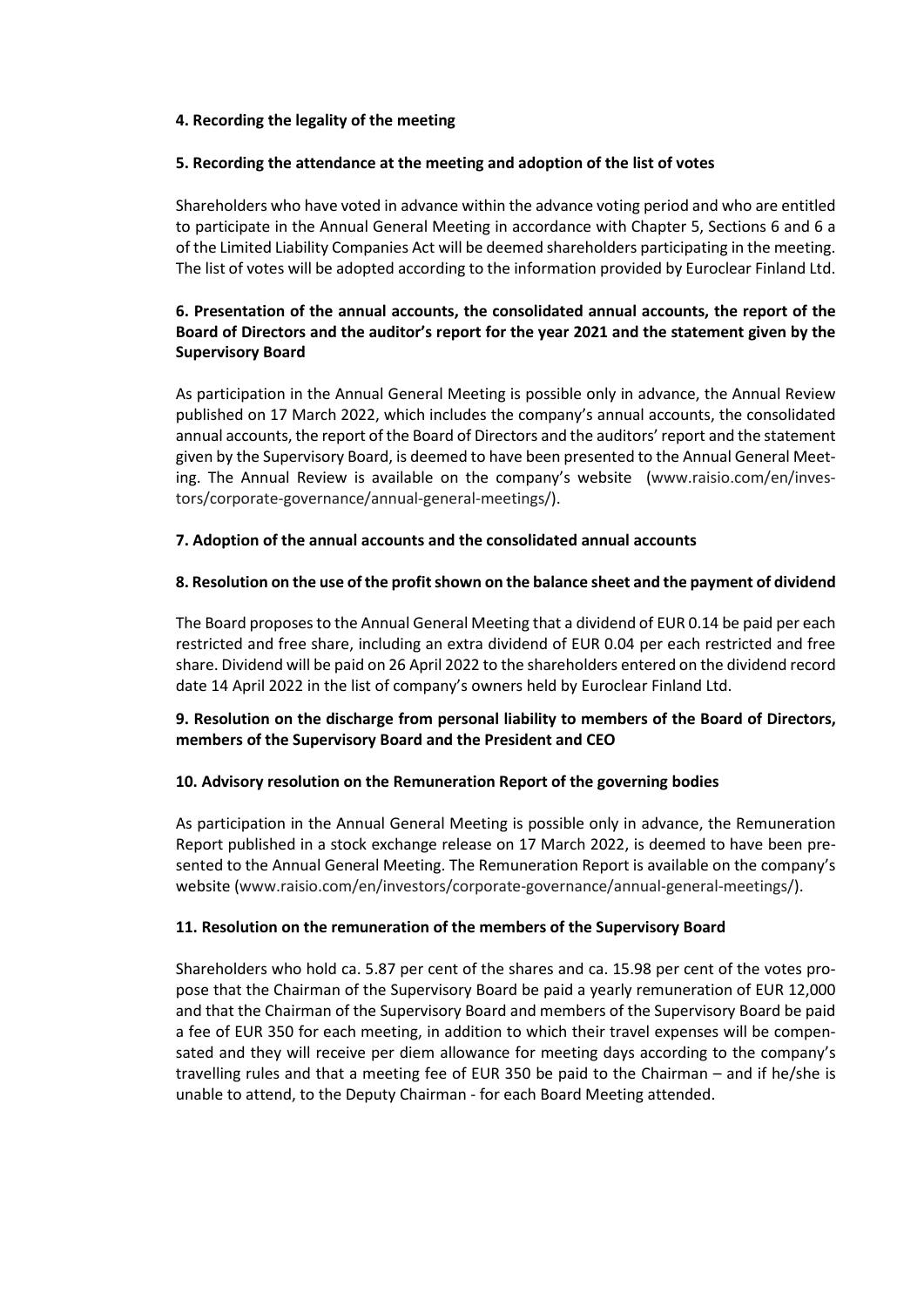### **4. Recording the legality of the meeting**

### **5. Recording the attendance at the meeting and adoption of the list of votes**

Shareholders who have voted in advance within the advance voting period and who are entitled to participate in the Annual General Meeting in accordance with Chapter 5, Sections 6 and 6 a of the Limited Liability Companies Act will be deemed shareholders participating in the meeting. The list of votes will be adopted according to the information provided by Euroclear Finland Ltd.

# **6. Presentation of the annual accounts, the consolidated annual accounts, the report of the Board of Directors and the auditor's report for the year 2021 and the statement given by the Supervisory Board**

As participation in the Annual General Meeting is possible only in advance, the Annual Review published on 17 March 2022, which includes the company's annual accounts, the consolidated annual accounts, the report of the Board of Directors and the auditors' report and the statement given by the Supervisory Board, is deemed to have been presented to the Annual General Meeting. The Annual Review is available on the company's website [\(www.raisio.com/en/inves](https://www.raisio.com/en/investors/corporate-governance/annual-general-meetings/)[tors/corporate-governance/annual-general-meetings/\)](https://www.raisio.com/en/investors/corporate-governance/annual-general-meetings/).

# **7. Adoption of the annual accounts and the consolidated annual accounts**

# **8. Resolution on the use of the profit shown on the balance sheet and the payment of dividend**

The Board proposes to the Annual General Meeting that a dividend of EUR 0.14 be paid per each restricted and free share, including an extra dividend of EUR 0.04 per each restricted and free share. Dividend will be paid on 26 April 2022 to the shareholders entered on the dividend record date 14 April 2022 in the list of company's owners held by Euroclear Finland Ltd.

# **9. Resolution on the discharge from personal liability to members of the Board of Directors, members of the Supervisory Board and the President and CEO**

### **10. Advisory resolution on the Remuneration Report of the governing bodies**

As participation in the Annual General Meeting is possible only in advance, the Remuneration Report published in a stock exchange release on 17 March 2022, is deemed to have been presented to the Annual General Meeting. The Remuneration Report is available on the company's website [\(www.raisio.com/en/investors/corporate-governance/annual-general-meetings/\)](https://www.raisio.com/en/investors/corporate-governance/annual-general-meetings/).

### **11. Resolution on the remuneration of the members of the Supervisory Board**

Shareholders who hold ca. 5.87 per cent of the shares and ca. 15.98 per cent of the votes propose that the Chairman of the Supervisory Board be paid a yearly remuneration of EUR 12,000 and that the Chairman of the Supervisory Board and members of the Supervisory Board be paid a fee of EUR 350 for each meeting, in addition to which their travel expenses will be compensated and they will receive per diem allowance for meeting days according to the company's travelling rules and that a meeting fee of EUR 350 be paid to the Chairman – and if he/she is unable to attend, to the Deputy Chairman - for each Board Meeting attended.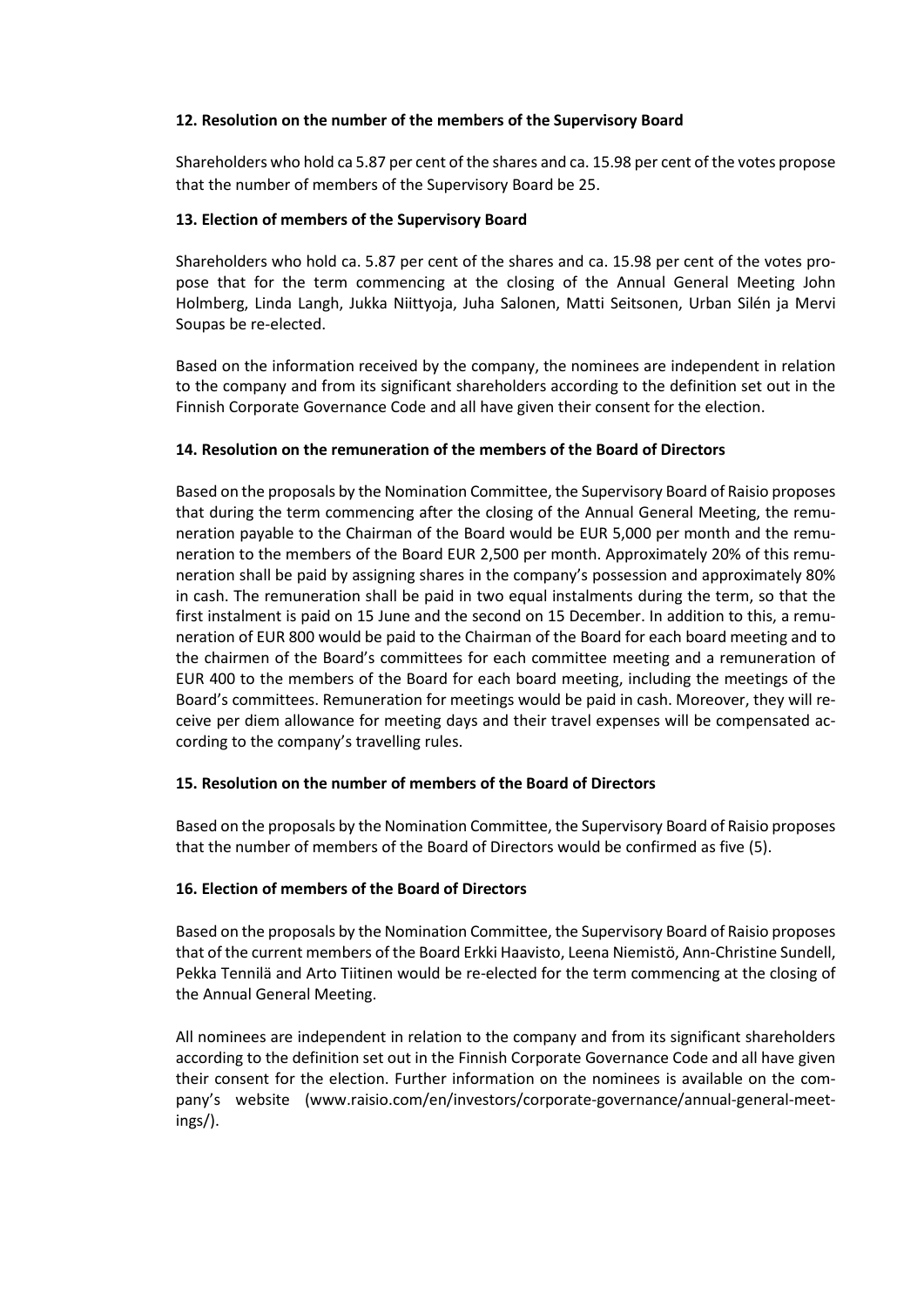### **12. Resolution on the number of the members of the Supervisory Board**

Shareholders who hold ca 5.87 per cent of the shares and ca. 15.98 per cent of the votes propose that the number of members of the Supervisory Board be 25.

### **13. Election of members of the Supervisory Board**

Shareholders who hold ca. 5.87 per cent of the shares and ca. 15.98 per cent of the votes propose that for the term commencing at the closing of the Annual General Meeting John Holmberg, Linda Langh, Jukka Niittyoja, Juha Salonen, Matti Seitsonen, Urban Silén ja Mervi Soupas be re-elected.

Based on the information received by the company, the nominees are independent in relation to the company and from its significant shareholders according to the definition set out in the Finnish Corporate Governance Code and all have given their consent for the election.

## **14. Resolution on the remuneration of the members of the Board of Directors**

Based on the proposals by the Nomination Committee, the Supervisory Board of Raisio proposes that during the term commencing after the closing of the Annual General Meeting, the remuneration payable to the Chairman of the Board would be EUR 5,000 per month and the remuneration to the members of the Board EUR 2,500 per month. Approximately 20% of this remuneration shall be paid by assigning shares in the company's possession and approximately 80% in cash. The remuneration shall be paid in two equal instalments during the term, so that the first instalment is paid on 15 June and the second on 15 December. In addition to this, a remuneration of EUR 800 would be paid to the Chairman of the Board for each board meeting and to the chairmen of the Board's committees for each committee meeting and a remuneration of EUR 400 to the members of the Board for each board meeting, including the meetings of the Board's committees. Remuneration for meetings would be paid in cash. Moreover, they will receive per diem allowance for meeting days and their travel expenses will be compensated according to the company's travelling rules.

### **15. Resolution on the number of members of the Board of Directors**

Based on the proposals by the Nomination Committee, the Supervisory Board of Raisio proposes that the number of members of the Board of Directors would be confirmed as five (5).

### **16. Election of members of the Board of Directors**

Based on the proposals by the Nomination Committee, the Supervisory Board of Raisio proposes that of the current members of the Board Erkki Haavisto, Leena Niemistö, Ann-Christine Sundell, Pekka Tennilä and Arto Tiitinen would be re-elected for the term commencing at the closing of the Annual General Meeting.

All nominees are independent in relation to the company and from its significant shareholders according to the definition set out in the Finnish Corporate Governance Code and all have given their consent for the election. Further information on the nominees is available on the company's website [\(www.raisio.com/en/investors/corporate-governance/annual-general-meet](https://www.raisio.com/en/investors/corporate-governance/annual-general-meetings/)[ings/\)](https://www.raisio.com/en/investors/corporate-governance/annual-general-meetings/).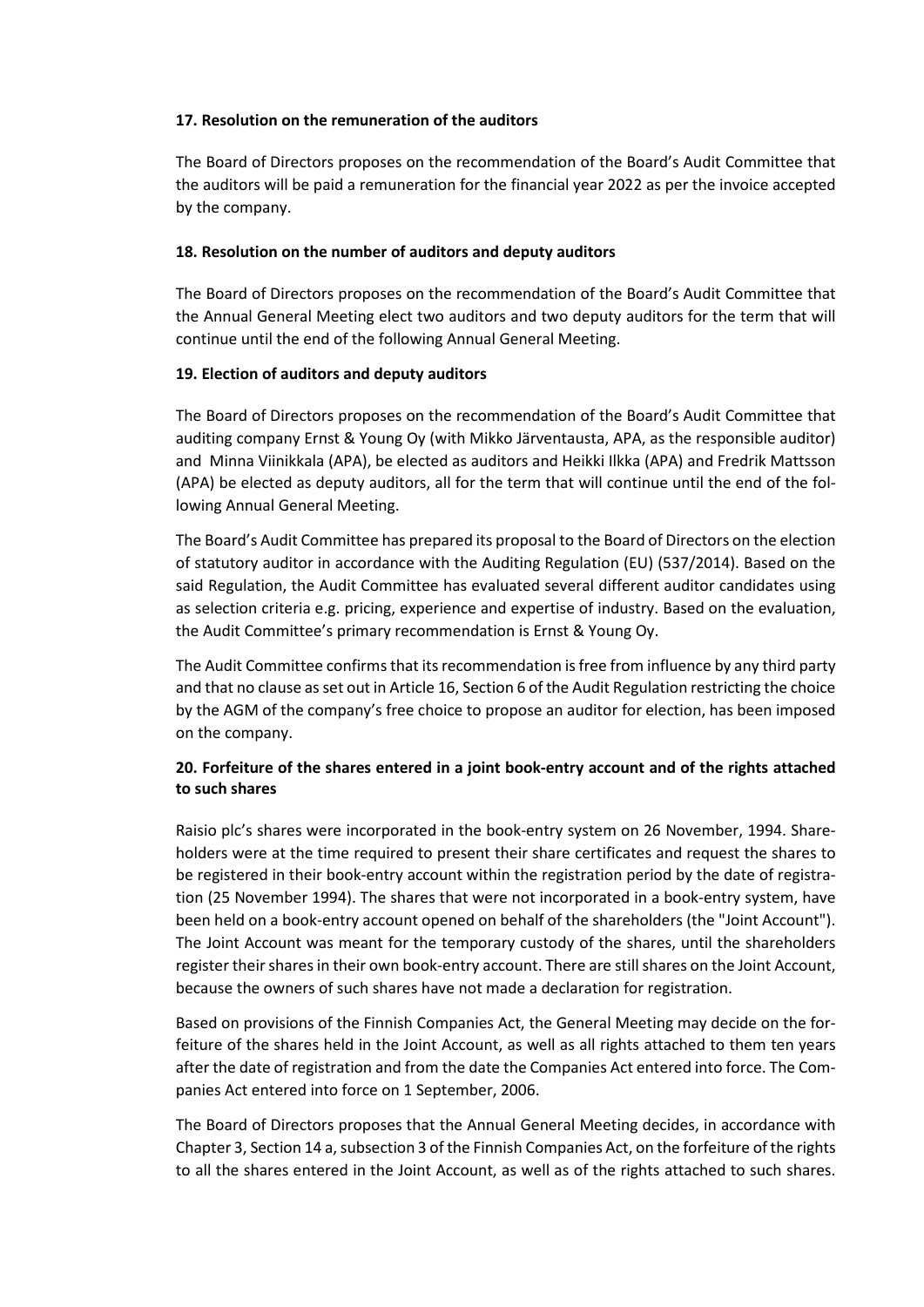### **17. Resolution on the remuneration of the auditors**

The Board of Directors proposes on the recommendation of the Board's Audit Committee that the auditors will be paid a remuneration for the financial year 2022 as per the invoice accepted by the company.

## **18. Resolution on the number of auditors and deputy auditors**

The Board of Directors proposes on the recommendation of the Board's Audit Committee that the Annual General Meeting elect two auditors and two deputy auditors for the term that will continue until the end of the following Annual General Meeting.

# **19. Election of auditors and deputy auditors**

The Board of Directors proposes on the recommendation of the Board's Audit Committee that auditing company Ernst & Young Oy (with Mikko Järventausta, APA, as the responsible auditor) and Minna Viinikkala (APA), be elected as auditors and Heikki Ilkka (APA) and Fredrik Mattsson (APA) be elected as deputy auditors, all for the term that will continue until the end of the following Annual General Meeting.

The Board's Audit Committee has prepared its proposal to the Board of Directors on the election of statutory auditor in accordance with the Auditing Regulation (EU) (537/2014). Based on the said Regulation, the Audit Committee has evaluated several different auditor candidates using as selection criteria e.g. pricing, experience and expertise of industry. Based on the evaluation, the Audit Committee's primary recommendation is Ernst & Young Oy.

The Audit Committee confirms that its recommendation is free from influence by any third party and that no clause as set out in Article 16, Section 6 of the Audit Regulation restricting the choice by the AGM of the company's free choice to propose an auditor for election, has been imposed on the company.

# **20. Forfeiture of the shares entered in a joint book-entry account and of the rights attached to such shares**

Raisio plc's shares were incorporated in the book-entry system on 26 November, 1994. Shareholders were at the time required to present their share certificates and request the shares to be registered in their book-entry account within the registration period by the date of registration (25 November 1994). The shares that were not incorporated in a book-entry system, have been held on a book-entry account opened on behalf of the shareholders (the "Joint Account"). The Joint Account was meant for the temporary custody of the shares, until the shareholders register their shares in their own book-entry account. There are still shares on the Joint Account, because the owners of such shares have not made a declaration for registration.

Based on provisions of the Finnish Companies Act, the General Meeting may decide on the forfeiture of the shares held in the Joint Account, as well as all rights attached to them ten years after the date of registration and from the date the Companies Act entered into force. The Companies Act entered into force on 1 September, 2006.

The Board of Directors proposes that the Annual General Meeting decides, in accordance with Chapter 3, Section 14 a, subsection 3 of the Finnish Companies Act, on the forfeiture of the rights to all the shares entered in the Joint Account, as well as of the rights attached to such shares.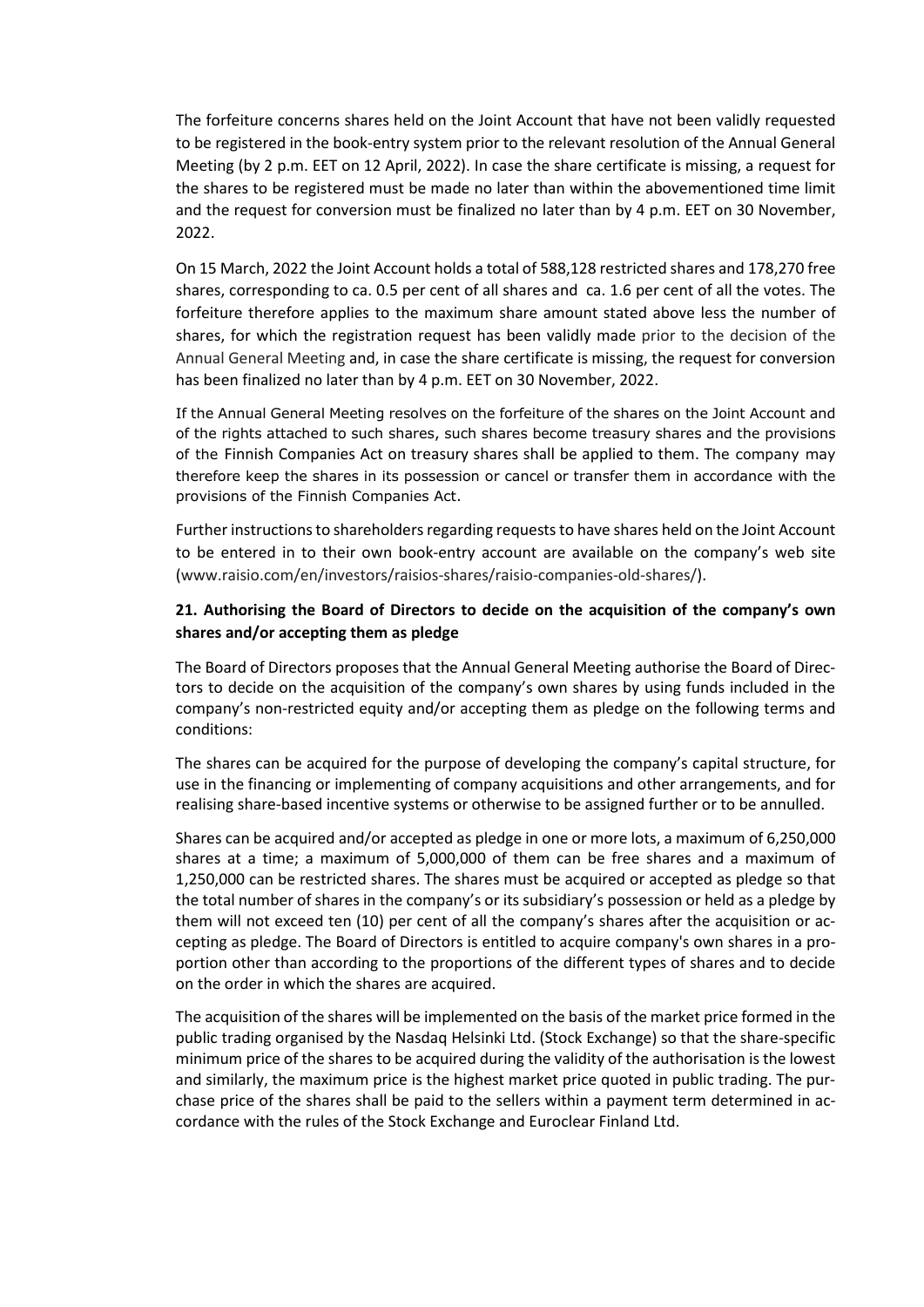The forfeiture concerns shares held on the Joint Account that have not been validly requested to be registered in the book-entry system prior to the relevant resolution of the Annual General Meeting (by 2 p.m. EET on 12 April, 2022). In case the share certificate is missing, a request for the shares to be registered must be made no later than within the abovementioned time limit and the request for conversion must be finalized no later than by 4 p.m. EET on 30 November, 2022.

On 15 March, 2022 the Joint Account holds a total of 588,128 restricted shares and 178,270 free shares, corresponding to ca. 0.5 per cent of all shares and ca. 1.6 per cent of all the votes. The forfeiture therefore applies to the maximum share amount stated above less the number of shares, for which the registration request has been validly made prior to the decision of the Annual General Meeting and, in case the share certificate is missing, the request for conversion has been finalized no later than by 4 p.m. EET on 30 November, 2022.

If the Annual General Meeting resolves on the forfeiture of the shares on the Joint Account and of the rights attached to such shares, such shares become treasury shares and the provisions of the Finnish Companies Act on treasury shares shall be applied to them. The company may therefore keep the shares in its possession or cancel or transfer them in accordance with the provisions of the Finnish Companies Act.

Further instructions to shareholders regarding requests to have shares held on the Joint Account to be entered in to their own book-entry account are available on the company's web site [\(www.raisio.com/en/investors/raisios-shares/raisio-companies-old-shares/\)](https://www.raisio.com/en/investors/raisios-shares/raisio-companies-old-shares/).

# **21. Authorising the Board of Directors to decide on the acquisition of the company's own shares and/or accepting them as pledge**

The Board of Directors proposes that the Annual General Meeting authorise the Board of Directors to decide on the acquisition of the company's own shares by using funds included in the company's non-restricted equity and/or accepting them as pledge on the following terms and conditions:

The shares can be acquired for the purpose of developing the company's capital structure, for use in the financing or implementing of company acquisitions and other arrangements, and for realising share-based incentive systems or otherwise to be assigned further or to be annulled.

Shares can be acquired and/or accepted as pledge in one or more lots, a maximum of 6,250,000 shares at a time; a maximum of 5,000,000 of them can be free shares and a maximum of 1,250,000 can be restricted shares. The shares must be acquired or accepted as pledge so that the total number of shares in the company's or its subsidiary's possession or held as a pledge by them will not exceed ten (10) per cent of all the company's shares after the acquisition or accepting as pledge. The Board of Directors is entitled to acquire company's own shares in a proportion other than according to the proportions of the different types of shares and to decide on the order in which the shares are acquired.

The acquisition of the shares will be implemented on the basis of the market price formed in the public trading organised by the Nasdaq Helsinki Ltd. (Stock Exchange) so that the share-specific minimum price of the shares to be acquired during the validity of the authorisation is the lowest and similarly, the maximum price is the highest market price quoted in public trading. The purchase price of the shares shall be paid to the sellers within a payment term determined in accordance with the rules of the Stock Exchange and Euroclear Finland Ltd.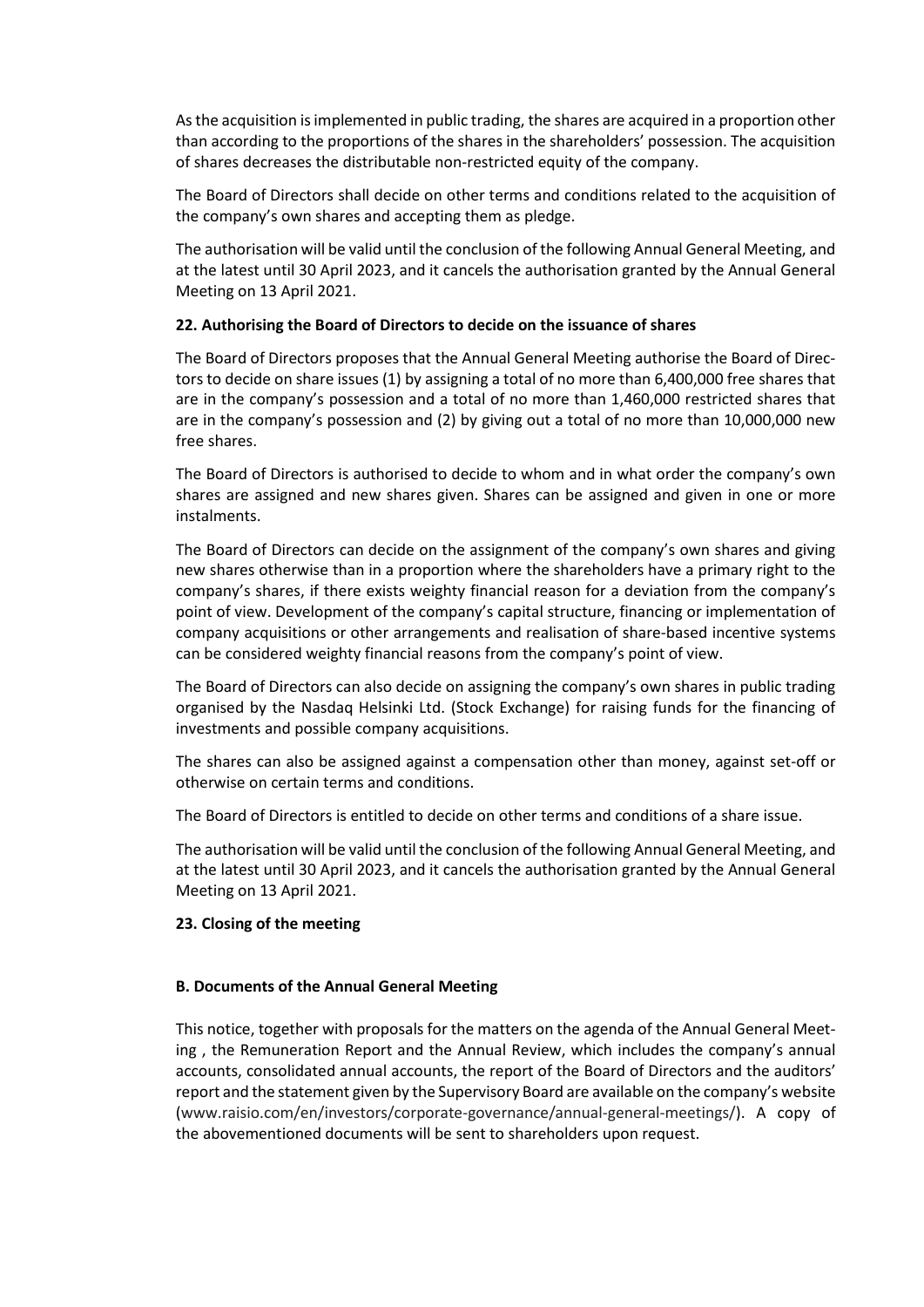As the acquisition is implemented in public trading, the shares are acquired in a proportion other than according to the proportions of the shares in the shareholders' possession. The acquisition of shares decreases the distributable non-restricted equity of the company.

The Board of Directors shall decide on other terms and conditions related to the acquisition of the company's own shares and accepting them as pledge.

The authorisation will be valid until the conclusion of the following Annual General Meeting, and at the latest until 30 April 2023, and it cancels the authorisation granted by the Annual General Meeting on 13 April 2021.

## **22. Authorising the Board of Directors to decide on the issuance of shares**

The Board of Directors proposes that the Annual General Meeting authorise the Board of Directors to decide on share issues (1) by assigning a total of no more than 6,400,000 free shares that are in the company's possession and a total of no more than 1,460,000 restricted shares that are in the company's possession and (2) by giving out a total of no more than 10,000,000 new free shares.

The Board of Directors is authorised to decide to whom and in what order the company's own shares are assigned and new shares given. Shares can be assigned and given in one or more instalments.

The Board of Directors can decide on the assignment of the company's own shares and giving new shares otherwise than in a proportion where the shareholders have a primary right to the company's shares, if there exists weighty financial reason for a deviation from the company's point of view. Development of the company's capital structure, financing or implementation of company acquisitions or other arrangements and realisation of share-based incentive systems can be considered weighty financial reasons from the company's point of view.

The Board of Directors can also decide on assigning the company's own shares in public trading organised by the Nasdaq Helsinki Ltd. (Stock Exchange) for raising funds for the financing of investments and possible company acquisitions.

The shares can also be assigned against a compensation other than money, against set-off or otherwise on certain terms and conditions.

The Board of Directors is entitled to decide on other terms and conditions of a share issue.

The authorisation will be valid until the conclusion of the following Annual General Meeting, and at the latest until 30 April 2023, and it cancels the authorisation granted by the Annual General Meeting on 13 April 2021.

### **23. Closing of the meeting**

### **B. Documents of the Annual General Meeting**

This notice, together with proposals for the matters on the agenda of the Annual General Meeting , the Remuneration Report and the Annual Review, which includes the company's annual accounts, consolidated annual accounts, the report of the Board of Directors and the auditors' report and the statement given by the Supervisory Board are available on the company's website [\(www.raisio.com/en/investors/corporate-governance/annual-general-meetings/\)](https://www.raisio.com/en/investors/corporate-governance/annual-general-meetings/). A copy of the abovementioned documents will be sent to shareholders upon request.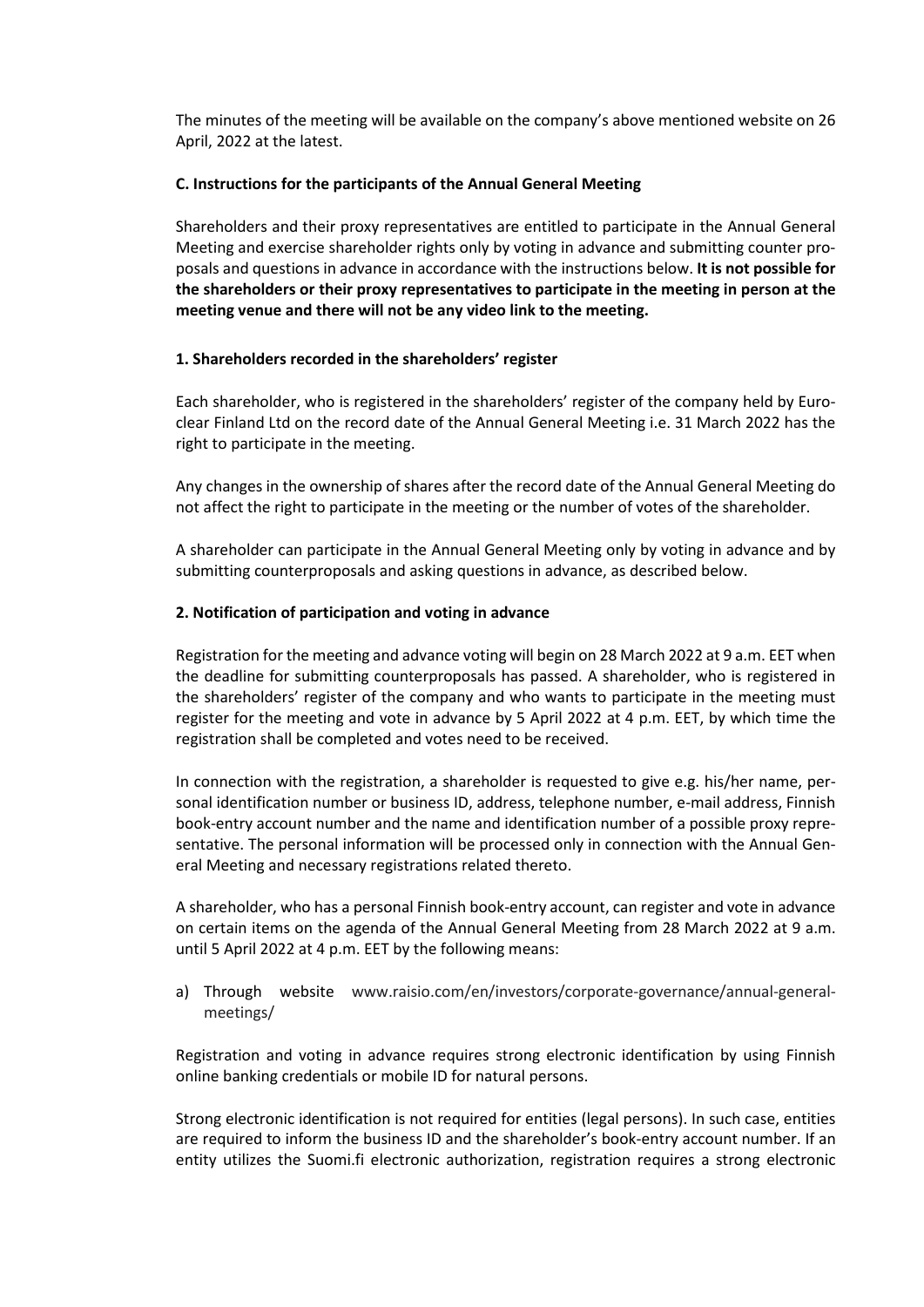The minutes of the meeting will be available on the company's above mentioned website on 26 April, 2022 at the latest.

### **C. Instructions for the participants of the Annual General Meeting**

Shareholders and their proxy representatives are entitled to participate in the Annual General Meeting and exercise shareholder rights only by voting in advance and submitting counter proposals and questions in advance in accordance with the instructions below. **It is not possible for the shareholders or their proxy representatives to participate in the meeting in person at the meeting venue and there will not be any video link to the meeting.** 

### **1. Shareholders recorded in the shareholders' register**

Each shareholder, who is registered in the shareholders' register of the company held by Euroclear Finland Ltd on the record date of the Annual General Meeting i.e. 31 March 2022 has the right to participate in the meeting.

Any changes in the ownership of shares after the record date of the Annual General Meeting do not affect the right to participate in the meeting or the number of votes of the shareholder.

A shareholder can participate in the Annual General Meeting only by voting in advance and by submitting counterproposals and asking questions in advance, as described below.

## **2. Notification of participation and voting in advance**

Registration for the meeting and advance voting will begin on 28 March 2022 at 9 a.m. EET when the deadline for submitting counterproposals has passed. A shareholder, who is registered in the shareholders' register of the company and who wants to participate in the meeting must register for the meeting and vote in advance by 5 April 2022 at 4 p.m. EET, by which time the registration shall be completed and votes need to be received.

In connection with the registration, a shareholder is requested to give e.g. his/her name, personal identification number or business ID, address, telephone number, e-mail address, Finnish book-entry account number and the name and identification number of a possible proxy representative. The personal information will be processed only in connection with the Annual General Meeting and necessary registrations related thereto.

A shareholder, who has a personal Finnish book-entry account, can register and vote in advance on certain items on the agenda of the Annual General Meeting from 28 March 2022 at 9 a.m. until 5 April 2022 at 4 p.m. EET by the following means:

a) Through website [www.raisio.com/en/investors/corporate-governance/annual-general](http://www.raisio.com/en/investors/corporate-governance/annual-general-meetings/)[meetings/](http://www.raisio.com/en/investors/corporate-governance/annual-general-meetings/)

Registration and voting in advance requires strong electronic identification by using Finnish online banking credentials or mobile ID for natural persons.

Strong electronic identification is not required for entities (legal persons). In such case, entities are required to inform the business ID and the shareholder's book-entry account number. If an entity utilizes the Suomi.fi electronic authorization, registration requires a strong electronic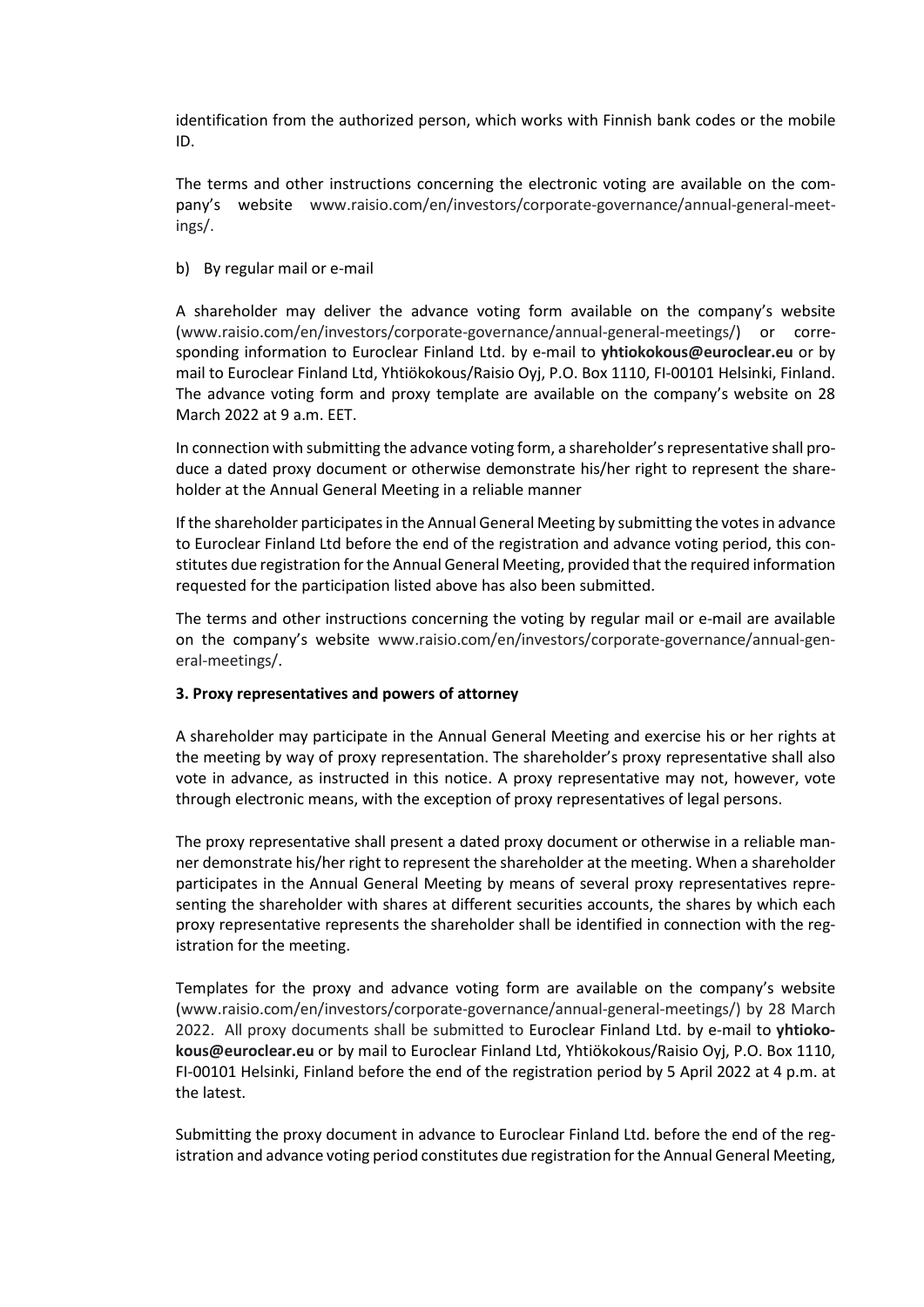identification from the authorized person, which works with Finnish bank codes or the mobile ID.

The terms and other instructions concerning the electronic voting are available on the company's website [www.raisio.com/en/investors/corporate-governance/annual-general-meet](http://www.raisio.com/en/investors/corporate-governance/annual-general-meetings/)[ings/.](http://www.raisio.com/en/investors/corporate-governance/annual-general-meetings/)

### b) By regular mail or e-mail

A shareholder may deliver the advance voting form available on the company's website [\(www.raisio.com/en/investors/corporate-governance/annual-general-meetings/\)](https://www.raisio.com/en/investors/corporate-governance/annual-general-meetings/) or corresponding information to Euroclear Finland Ltd. by e-mail to **[yhtiokokous@euroclear.eu](mailto:yhtiokokous@euroclear.eu)** or by mail to Euroclear Finland Ltd, Yhtiökokous/Raisio Oyj, P.O. Box 1110, FI-00101 Helsinki, Finland. The advance voting form and proxy template are available on the company's website on 28 March 2022 at 9 a.m. EET.

In connection with submitting the advance voting form, a shareholder's representative shall produce a dated proxy document or otherwise demonstrate his/her right to represent the shareholder at the Annual General Meeting in a reliable manner

If the shareholder participates in the Annual General Meeting by submitting the votes in advance to Euroclear Finland Ltd before the end of the registration and advance voting period, this constitutes due registration for the Annual General Meeting, provided that the required information requested for the participation listed above has also been submitted.

The terms and other instructions concerning the voting by regular mail or e-mail are available on the company's website [www.raisio.com/en/investors/corporate-governance/annual-gen](http://www.raisio.com/en/investors/corporate-governance/annual-general-meetings/)[eral-meetings/.](http://www.raisio.com/en/investors/corporate-governance/annual-general-meetings/)

### **3. Proxy representatives and powers of attorney**

A shareholder may participate in the Annual General Meeting and exercise his or her rights at the meeting by way of proxy representation. The shareholder's proxy representative shall also vote in advance, as instructed in this notice. A proxy representative may not, however, vote through electronic means, with the exception of proxy representatives of legal persons.

The proxy representative shall present a dated proxy document or otherwise in a reliable manner demonstrate his/her right to represent the shareholder at the meeting. When a shareholder participates in the Annual General Meeting by means of several proxy representatives representing the shareholder with shares at different securities accounts, the shares by which each proxy representative represents the shareholder shall be identified in connection with the registration for the meeting.

Templates for the proxy and advance voting form are available on the company's website [\(www.raisio.com/en/investors/corporate-governance/annual-general-meetings/\)](https://www.raisio.com/en/investors/corporate-governance/annual-general-meetings/) by 28 March 2022. All proxy documents shall be submitted to Euroclear Finland Ltd. by e-mail to **[yhtioko](mailto:yhtiokokous@euroclear.eu)[kous@euroclear.eu](mailto:yhtiokokous@euroclear.eu)** or by mail to Euroclear Finland Ltd, Yhtiökokous/Raisio Oyj, P.O. Box 1110, FI-00101 Helsinki, Finland before the end of the registration period by 5 April 2022 at 4 p.m. at the latest.

Submitting the proxy document in advance to Euroclear Finland Ltd. before the end of the registration and advance voting period constitutes due registration for the Annual General Meeting,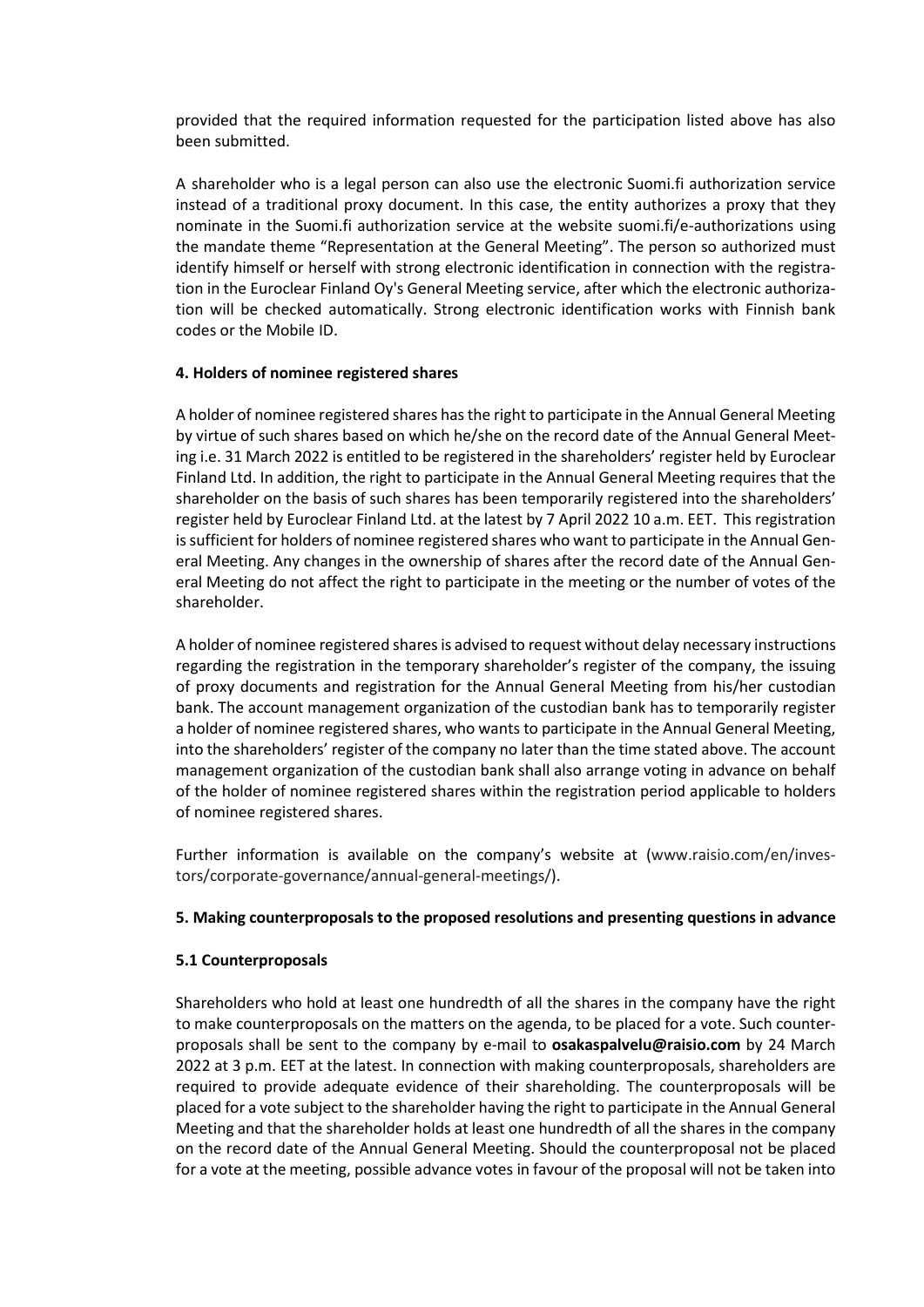provided that the required information requested for the participation listed above has also been submitted.

A shareholder who is a legal person can also use the electronic Suomi.fi authorization service instead of a traditional proxy document. In this case, the entity authorizes a proxy that they nominate in the Suomi.fi authorization service at the website suomi.fi/e-authorizations using the mandate theme "Representation at the General Meeting". The person so authorized must identify himself or herself with strong electronic identification in connection with the registration in the Euroclear Finland Oy's General Meeting service, after which the electronic authorization will be checked automatically. Strong electronic identification works with Finnish bank codes or the Mobile ID.

## **4. Holders of nominee registered shares**

A holder of nominee registered shares has the right to participate in the Annual General Meeting by virtue of such shares based on which he/she on the record date of the Annual General Meeting i.e. 31 March 2022 is entitled to be registered in the shareholders' register held by Euroclear Finland Ltd. In addition, the right to participate in the Annual General Meeting requires that the shareholder on the basis of such shares has been temporarily registered into the shareholders' register held by Euroclear Finland Ltd. at the latest by 7 April 2022 10 a.m. EET. This registration is sufficient for holders of nominee registered shares who want to participate in the Annual General Meeting. Any changes in the ownership of shares after the record date of the Annual General Meeting do not affect the right to participate in the meeting or the number of votes of the shareholder.

A holder of nominee registered shares is advised to request without delay necessary instructions regarding the registration in the temporary shareholder's register of the company, the issuing of proxy documents and registration for the Annual General Meeting from his/her custodian bank. The account management organization of the custodian bank has to temporarily register a holder of nominee registered shares, who wants to participate in the Annual General Meeting, into the shareholders' register of the company no later than the time stated above. The account management organization of the custodian bank shall also arrange voting in advance on behalf of the holder of nominee registered shares within the registration period applicable to holders of nominee registered shares.

Further information is available on the company's website at [\(www.raisio.com/en/inves](https://www.raisio.com/en/investors/corporate-governance/annual-general-meetings/)[tors/corporate-governance/annual-general-meetings/\)](https://www.raisio.com/en/investors/corporate-governance/annual-general-meetings/).

### **5. Making counterproposals to the proposed resolutions and presenting questions in advance**

# **5.1 Counterproposals**

Shareholders who hold at least one hundredth of all the shares in the company have the right to make counterproposals on the matters on the agenda, to be placed for a vote. Such counterproposals shall be sent to the company by e-mail to **osakaspalvelu@raisio.com** by 24 March 2022 at 3 p.m. EET at the latest. In connection with making counterproposals, shareholders are required to provide adequate evidence of their shareholding. The counterproposals will be placed for a vote subject to the shareholder having the right to participate in the Annual General Meeting and that the shareholder holds at least one hundredth of all the shares in the company on the record date of the Annual General Meeting. Should the counterproposal not be placed for a vote at the meeting, possible advance votes in favour of the proposal will not be taken into